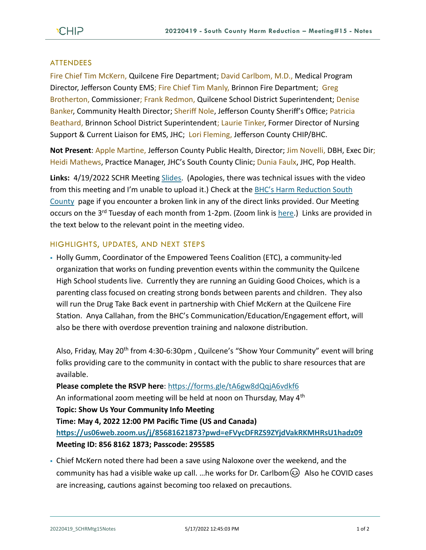## **ATTENDEES**

Fire Chief Tim McKern, Quilcene Fire Department; David Carlbom, M.D., Medical Program Director, Jefferson County EMS; Fire Chief Tim Manly, Brinnon Fire Department; Greg Brotherton, Commissioner; Frank Redmon, Quilcene School District Superintendent; Denise Banker, Community Health Director; Sheriff Nole, Jefferson County Sheriff's Office; Patricia Beathard, Brinnon School District Superintendent; Laurie Tinker, Former Director of Nursing Support & Current Liaison for EMS, JHC; Lori Fleming, Jefferson County CHIP/BHC.

**Not Present**: Apple Martine, Jefferson County Public Health, Director; Jim Novelli, DBH, Exec Dir; Heidi Mathews, Practice Manager, JHC's South County Clinic; Dunia Faulx, JHC, Pop Health.

**Links:** 4/19/2022 SCHR Meeting [Slides.](https://www.behealthyjefferson.com/_files/ugd/2fdcdd_51ccb063c43942c6b6b0d65879d75982.pdf) (Apologies, there was technical issues with the video from this meeting and I'm unable to upload it.) Check at the [BHC's Harm Reduction South](https://www.behealthyjefferson.com/bhcharmreduction)  [County](https://www.behealthyjefferson.com/bhcharmreduction) page if you encounter a broken link in any of the direct links provided. Our Meeting occurs on the 3<sup>rd</sup> Tuesday of each month from 1-2pm. (Zoom link is [here.](https://zoom.us/j/97908186807?pwd=QTFtTTNJRkFnRzJwZ1poK2lvcWxUdz09)) Links are provided in the text below to the relevant point in the meeting video.

## HIGHLIGHTS, UPDATES, AND NEXT STEPS

▪ Holly Gumm, Coordinator of the Empowered Teens Coalition (ETC), a community-led organization that works on funding prevention events within the community the Quilcene High School students live. Currently they are running an Guiding Good Choices, which is a parenting class focused on creating strong bonds between parents and children. They also will run the Drug Take Back event in partnership with Chief McKern at the Quilcene Fire Station. Anya Callahan, from the BHC's Communication/Education/Engagement effort, will also be there with overdose prevention training and naloxone distribution.

Also, Friday, May 20<sup>th</sup> from 4:30-6:30pm, Quilcene's "Show Your Community" event will bring folks providing care to the community in contact with the public to share resources that are available.

**Please complete the RSVP here**:<https://forms.gle/tA6gw8dQqjA6vdkf6> An informational zoom meeting will be held at noon on Thursday, May 4<sup>th</sup> **Topic: Show Us Your Community Info Meeting Time: May 4, 2022 12:00 PM Pacific Time (US and Canada) <https://us06web.zoom.us/j/85681621873?pwd=eFVycDFRZS9ZYjdVakRKMHRsU1hadz09> Meeting ID: 856 8162 1873; Passcode: 295585**

• Chief McKern noted there had been a save using Naloxone over the weekend, and the community has had a visible wake up call. ... he works for Dr. Carlbom  $\odot$  Also he COVID cases are increasing, cautions against becoming too relaxed on precautions.